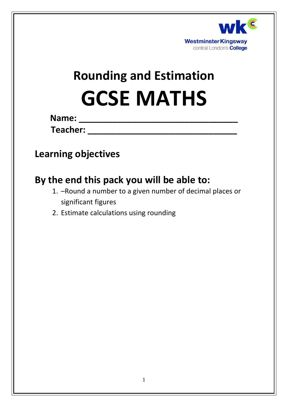

# **Rounding and Estimation GCSE MATHS**

**Name: \_\_\_\_\_\_\_\_\_\_\_\_\_\_\_\_\_\_\_\_\_\_\_\_\_\_\_\_\_\_\_\_\_**

**Teacher: \_\_\_\_\_\_\_\_\_\_\_\_\_\_\_\_\_\_\_\_\_\_\_\_\_\_\_\_\_\_\_**

### **Learning objectives**

### **By the end this pack you will be able to:**

- 1. –Round a number to a given number of decimal places or significant figures
- 2. Estimate calculations using rounding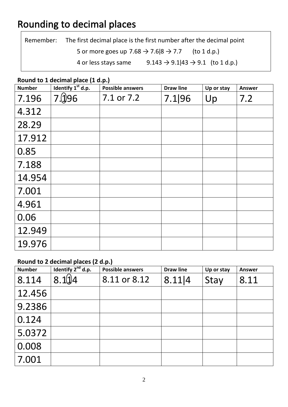### Rounding to decimal places

Remember: The first decimal place is the first number after the decimal point 5 or more goes up  $7.68 \rightarrow 7.6|8 \rightarrow 7.7$  (to 1 d.p.) 4 or less stays same  $9.143 \rightarrow 9.1|43 \rightarrow 9.1$  (to 1 d.p.)

#### **Round to 1 decimal place (1 d.p.)**

| <b>Number</b> | Identify 1 <sup>st</sup> d.p. | . .<br><b>Possible answers</b> | <b>Draw line</b> | Up or stay | <b>Answer</b> |
|---------------|-------------------------------|--------------------------------|------------------|------------|---------------|
| 7.196         | 7.196                         | 7.1 or 7.2                     | 7.1 96           | Up         | 7.2           |
| 4.312         |                               |                                |                  |            |               |
| 28.29         |                               |                                |                  |            |               |
| 17.912        |                               |                                |                  |            |               |
| 0.85          |                               |                                |                  |            |               |
| 7.188         |                               |                                |                  |            |               |
| 14.954        |                               |                                |                  |            |               |
| 7.001         |                               |                                |                  |            |               |
| 4.961         |                               |                                |                  |            |               |
| 0.06          |                               |                                |                  |            |               |
| 12.949        |                               |                                |                  |            |               |
| 19.976        |                               |                                |                  |            |               |

#### **Round to 2 decimal places (2 d.p.)**

| <b>Number</b> | Identify $2^{nd}$ d.p. | <b>Possible answers</b> | <b>Draw line</b> | Up or stay | <b>Answer</b> |
|---------------|------------------------|-------------------------|------------------|------------|---------------|
| 8.114         | 8.11/4                 | 8.11 or 8.12            | 8.11 4           | Stay       | 8.11          |
| 12.456        |                        |                         |                  |            |               |
| 9.2386        |                        |                         |                  |            |               |
| 0.124         |                        |                         |                  |            |               |
| 5.0372        |                        |                         |                  |            |               |
| 0.008         |                        |                         |                  |            |               |
| 7.001         |                        |                         |                  |            |               |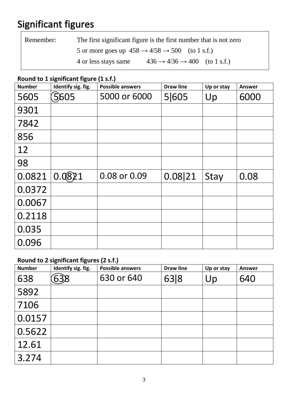## Significant figures

| Remember: | The first significant figure is the first number that is not zero |                                                                      |  |  |  |  |
|-----------|-------------------------------------------------------------------|----------------------------------------------------------------------|--|--|--|--|
|           |                                                                   | 5 or more goes up $458 \rightarrow 4158 \rightarrow 500$ (to 1 s.f.) |  |  |  |  |
|           | 4 or less stays same                                              | $436 \rightarrow 4136 \rightarrow 400$ (to 1 s.f.)                   |  |  |  |  |

#### **Round to 1 significant figure (1 s.f.)**

| <b>Number</b> | Identify sig. fig. | <b>Possible answers</b> | <b>Draw line</b> | Up or stay | <b>Answer</b> |
|---------------|--------------------|-------------------------|------------------|------------|---------------|
| 5605          | 5605               | 5000 or 6000            | 5 605            | Up         | 6000          |
| 9301          |                    |                         |                  |            |               |
| 7842          |                    |                         |                  |            |               |
| 856           |                    |                         |                  |            |               |
| 12            |                    |                         |                  |            |               |
| 98            |                    |                         |                  |            |               |
| 0.0821        | 0.0821             | 0.08 or 0.09            | 0.08 21          | Stay       | 0.08          |
| 0.0372        |                    |                         |                  |            |               |
| 0.0067        |                    |                         |                  |            |               |
| 0.2118        |                    |                         |                  |            |               |
| 0.035         |                    |                         |                  |            |               |
| 0.096         |                    |                         |                  |            |               |

### **Round to 2 significant figures (2 s.f.)**

| <b>Number</b> | Identify sig. fig. | <b>Possible answers</b> | <b>Draw line</b> | Up or stay | <b>Answer</b> |
|---------------|--------------------|-------------------------|------------------|------------|---------------|
| 638           | 638                | 630 or 640              | 63 8             | Up         | 640           |
| 5892          |                    |                         |                  |            |               |
| 7106          |                    |                         |                  |            |               |
| 0.0157        |                    |                         |                  |            |               |
| 0.5622        |                    |                         |                  |            |               |
| 12.61         |                    |                         |                  |            |               |
| 3.274         |                    |                         |                  |            |               |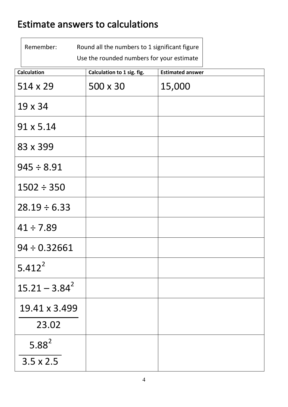### Estimate answers to calculations

 $\sqrt{ }$ 

| Remember:          | Round all the numbers to 1 significant figure<br>Use the rounded numbers for your estimate |        |
|--------------------|--------------------------------------------------------------------------------------------|--------|
| <b>Calculation</b> | <b>Estimated answer</b>                                                                    |        |
| $514 \times 29$    | 500 x 30                                                                                   | 15,000 |
| $19 \times 34$     |                                                                                            |        |
| $91 \times 5.14$   |                                                                                            |        |
| 83 x 399           |                                                                                            |        |
| $945 \div 8.91$    |                                                                                            |        |
| $1502 \div 350$    |                                                                                            |        |
| $28.19 \div 6.33$  |                                                                                            |        |
| $41 \div 7.89$     |                                                                                            |        |
| $94 \div 0.32661$  |                                                                                            |        |
| $5.412^2$          |                                                                                            |        |
| $15.21 - 3.84^2$   |                                                                                            |        |
| 19.41 x 3.499      |                                                                                            |        |
| 23.02              |                                                                                            |        |
| $5.88^{2}$         |                                                                                            |        |
| $3.5 \times 2.5$   |                                                                                            |        |

 $\overline{\phantom{a}}$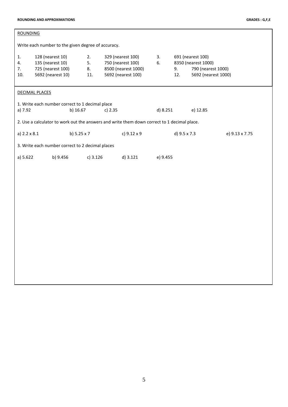| <b>ROUNDING</b>                                                                                           |                                                                                                         |                                                  |             |                                                                                     |                                                                                             |           |                                                                                       |                |
|-----------------------------------------------------------------------------------------------------------|---------------------------------------------------------------------------------------------------------|--------------------------------------------------|-------------|-------------------------------------------------------------------------------------|---------------------------------------------------------------------------------------------|-----------|---------------------------------------------------------------------------------------|----------------|
| Write each number to the given degree of accuracy.                                                        |                                                                                                         |                                                  |             |                                                                                     |                                                                                             |           |                                                                                       |                |
| 1.<br>4.<br>7.<br>10.                                                                                     | 128 (nearest 10)<br>2.<br>135 (nearest 10)<br>5.<br>725 (nearest 100)<br>8.<br>5692 (nearest 10)<br>11. |                                                  |             | 329 (nearest 100)<br>750 (nearest 100)<br>8500 (nearest 1000)<br>5692 (nearest 100) | 3.<br>6.                                                                                    | 9.<br>12. | 691 (nearest 100)<br>8350 (nearest 1000)<br>790 (nearest 1000)<br>5692 (nearest 1000) |                |
|                                                                                                           | <b>DECIMAL PLACES</b>                                                                                   |                                                  |             |                                                                                     |                                                                                             |           |                                                                                       |                |
| 1. Write each number correct to 1 decimal place<br>a) 7.92<br>b) 16.67<br>d) 8.251<br>e) 12.85<br>c) 2.35 |                                                                                                         |                                                  |             |                                                                                     |                                                                                             |           |                                                                                       |                |
|                                                                                                           |                                                                                                         |                                                  |             |                                                                                     | 2. Use a calculator to work out the answers and write them down correct to 1 decimal place. |           |                                                                                       |                |
| a) 2.2 x 8.1                                                                                              |                                                                                                         |                                                  | b) 5.25 x 7 |                                                                                     | c) 9.12 x 9                                                                                 |           | d) 9.5 x 7.3                                                                          | e) 9.13 x 7.75 |
|                                                                                                           |                                                                                                         | 3. Write each number correct to 2 decimal places |             |                                                                                     |                                                                                             |           |                                                                                       |                |
|                                                                                                           | b) 9.456<br>$c)$ 3.126<br>a) 5.622                                                                      |                                                  |             | d) 3.121                                                                            | e) 9.455                                                                                    |           |                                                                                       |                |
|                                                                                                           |                                                                                                         |                                                  |             |                                                                                     |                                                                                             |           |                                                                                       |                |
|                                                                                                           |                                                                                                         |                                                  |             |                                                                                     |                                                                                             |           |                                                                                       |                |
|                                                                                                           |                                                                                                         |                                                  |             |                                                                                     |                                                                                             |           |                                                                                       |                |
|                                                                                                           |                                                                                                         |                                                  |             |                                                                                     |                                                                                             |           |                                                                                       |                |
|                                                                                                           |                                                                                                         |                                                  |             |                                                                                     |                                                                                             |           |                                                                                       |                |
|                                                                                                           |                                                                                                         |                                                  |             |                                                                                     |                                                                                             |           |                                                                                       |                |
|                                                                                                           |                                                                                                         |                                                  |             |                                                                                     |                                                                                             |           |                                                                                       |                |
|                                                                                                           |                                                                                                         |                                                  |             |                                                                                     |                                                                                             |           |                                                                                       |                |
|                                                                                                           |                                                                                                         |                                                  |             |                                                                                     |                                                                                             |           |                                                                                       |                |
|                                                                                                           |                                                                                                         |                                                  |             |                                                                                     |                                                                                             |           |                                                                                       |                |
|                                                                                                           |                                                                                                         |                                                  |             |                                                                                     |                                                                                             |           |                                                                                       |                |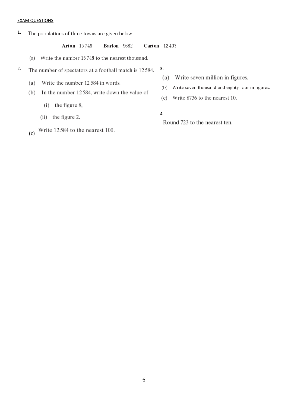#### EXAM QUESTIONS

1. The populations of three towns are given below.

> **Arton** 15748 Barton 9682 **Carton** 12403

- (a) Write the number 15748 to the nearest thousand.
- 2. 3. The number of spectators at a football match is 12584.
	- Write the number 12 584 in words.  $(a)$
	- $(b)$ In the number 12584, write down the value of
		- $(i)$  the figure 8,
		- (ii) the figure 2.
	- Write 12584 to the nearest 100. (c)
- (a) Write seven million in figures.
- (b) Write seven thousand and eighty-four in figures.
- (c) Write 8736 to the nearest 10.

Round 723 to the nearest ten.

- 
- 4.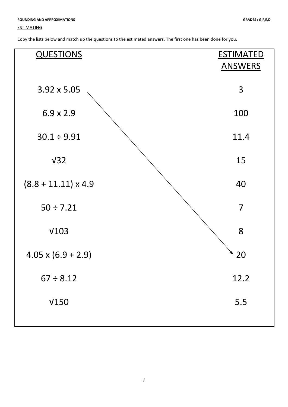#### **ESTIMATING**

| <b>QUESTIONS</b>           | <b>ESTIMATED</b><br><b>ANSWERS</b> |
|----------------------------|------------------------------------|
| $3.92 \times 5.05$         | 3                                  |
| $6.9 \times 2.9$           | 100                                |
| $30.1 \div 9.91$           | 11.4                               |
| V <sub>32</sub>            | 15                                 |
| $(8.8 + 11.11) \times 4.9$ | 40                                 |
| $50 \div 7.21$             | $\overline{7}$                     |
| V103                       | 8                                  |
| $4.05 \times (6.9 + 2.9)$  | 20                                 |
| $67 \div 8.12$             | 12.2                               |
| V150                       | 5.5                                |
|                            |                                    |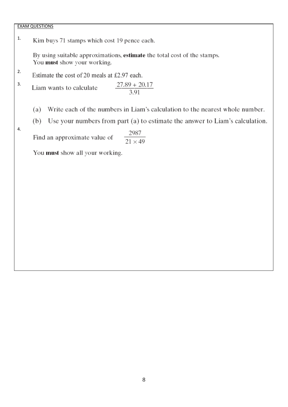#### EXAM QUESTIONS

1. Kim buys 71 stamps which cost 19 pence each.

> By using suitable approximations, estimate the total cost of the stamps. You must show your working.

2. Estimate the cost of 20 meals at £2.97 each.

 $\frac{27.89 + 20.17}{3.91}$ 3. Liam wants to calculate

> Write each of the numbers in Liam's calculation to the nearest whole number. (a)

- Use your numbers from part (a) to estimate the answer to Liam's calculation.  $(b)$
- 4.

 $\frac{2987}{21 \times 49}$ Find an approximate value of

You must show all your working.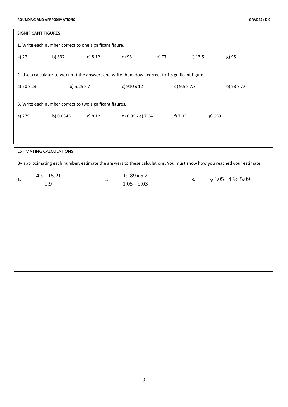| <b>SIGNIFICANT FIGURES</b>     |                                                         |                                                                                                  |                    |       |              |        |                                                                                                                        |
|--------------------------------|---------------------------------------------------------|--------------------------------------------------------------------------------------------------|--------------------|-------|--------------|--------|------------------------------------------------------------------------------------------------------------------------|
|                                | 1. Write each number correct to one significant figure. |                                                                                                  |                    |       |              |        |                                                                                                                        |
| a) 27                          | b) 832                                                  | c) 8.12                                                                                          | d) 93              | e) 77 | f) $13.5$    |        | g) 95                                                                                                                  |
|                                |                                                         |                                                                                                  |                    |       |              |        |                                                                                                                        |
|                                |                                                         | 2. Use a calculator to work out the answers and write them down correct to 1 significant figure. |                    |       |              |        |                                                                                                                        |
| a) 50 x 23                     | b) 5.25 x 7                                             |                                                                                                  | c) 910 x 12        |       | d) 9.5 x 7.3 |        | e) 93 x 77                                                                                                             |
|                                |                                                         | 3. Write each number correct to two significant figures.                                         |                    |       |              |        |                                                                                                                        |
|                                |                                                         |                                                                                                  |                    |       |              |        |                                                                                                                        |
| a) 275                         | b) 0.03451                                              | c) 8.12                                                                                          | d) 0.956 e) 7.04   |       | f) 7.05      | g) 959 |                                                                                                                        |
|                                |                                                         |                                                                                                  |                    |       |              |        |                                                                                                                        |
|                                |                                                         |                                                                                                  |                    |       |              |        |                                                                                                                        |
| <b>ESTIMATING CALCULATIONS</b> |                                                         |                                                                                                  |                    |       |              |        |                                                                                                                        |
|                                |                                                         |                                                                                                  |                    |       |              |        | By approximating each number, estimate the answers to these calculations. You must show how you reached your estimate. |
| 1.                             | $4.9 + 15.21$                                           | 2.                                                                                               | $19.89 \times 5.2$ |       | 3.           |        | $\sqrt{4.05 \times 4.9 \times 5.09}$                                                                                   |
|                                | 1.9                                                     |                                                                                                  | $1.05 + 9.03$      |       |              |        |                                                                                                                        |
|                                |                                                         |                                                                                                  |                    |       |              |        |                                                                                                                        |
|                                |                                                         |                                                                                                  |                    |       |              |        |                                                                                                                        |
|                                |                                                         |                                                                                                  |                    |       |              |        |                                                                                                                        |
|                                |                                                         |                                                                                                  |                    |       |              |        |                                                                                                                        |
|                                |                                                         |                                                                                                  |                    |       |              |        |                                                                                                                        |
|                                |                                                         |                                                                                                  |                    |       |              |        |                                                                                                                        |
|                                |                                                         |                                                                                                  |                    |       |              |        |                                                                                                                        |
|                                |                                                         |                                                                                                  |                    |       |              |        |                                                                                                                        |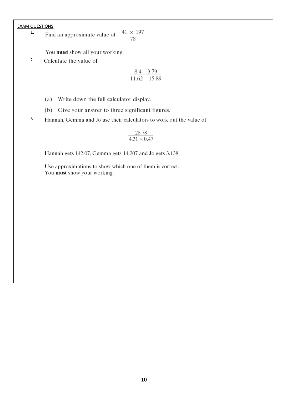EXAM QUESTIONS<br>
<sup>1</sup> Find an approximate value of  $\frac{41 \times 197}{78}$ 1.

You must show all your working.

2. Calculate the value of

$$
\frac{8.4-3.79}{11.62-15.89}
$$

- (a) Write down the full calculator display.
- (b) Give your answer to three significant figures.
- 3.Hannah, Gemma and Jo use their calculators to work out the value of

$$
\frac{28.78}{4.31\times0.47}
$$

Hannah gets 142.07, Gemma gets 14.207 and Jo gets 3.138

Use approximations to show which one of them is correct. You must show your working.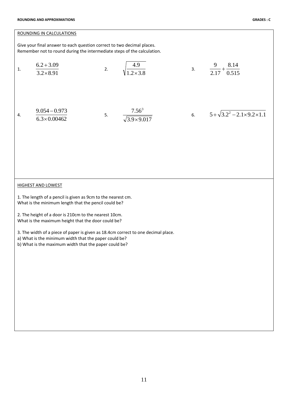